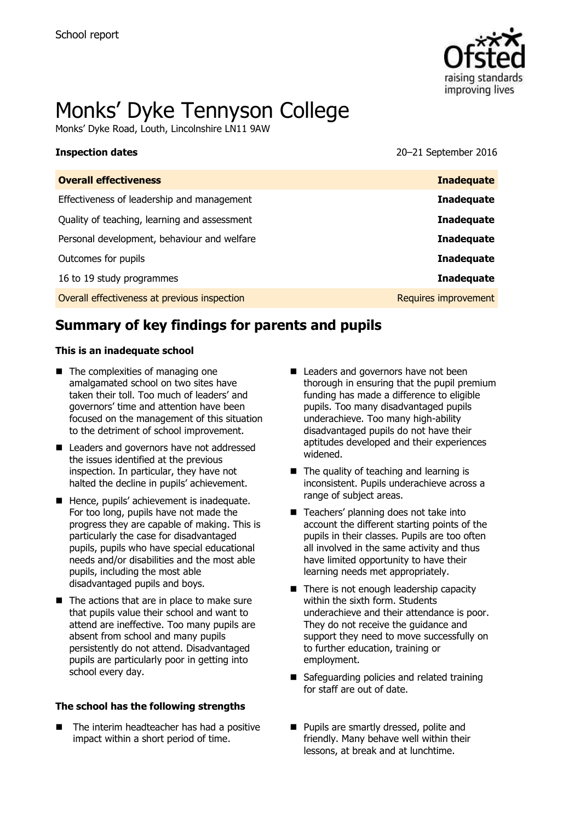

# Monks' Dyke Tennyson College

Monks' Dyke Road, Louth, Lincolnshire LN11 9AW

**Inspection dates** 2016

| <b>Inadequate</b>    |
|----------------------|
| <b>Inadequate</b>    |
| <b>Inadequate</b>    |
| <b>Inadequate</b>    |
| <b>Inadequate</b>    |
| <b>Inadequate</b>    |
| Requires improvement |
|                      |

# **Summary of key findings for parents and pupils**

### **This is an inadequate school**

- The complexities of managing one amalgamated school on two sites have taken their toll. Too much of leaders' and governors' time and attention have been focused on the management of this situation to the detriment of school improvement.
- Leaders and governors have not addressed the issues identified at the previous inspection. In particular, they have not halted the decline in pupils' achievement.
- Hence, pupils' achievement is inadequate. For too long, pupils have not made the progress they are capable of making. This is particularly the case for disadvantaged pupils, pupils who have special educational needs and/or disabilities and the most able pupils, including the most able disadvantaged pupils and boys.
- $\blacksquare$  The actions that are in place to make sure that pupils value their school and want to attend are ineffective. Too many pupils are absent from school and many pupils persistently do not attend. Disadvantaged pupils are particularly poor in getting into school every day.

### **The school has the following strengths**

 The interim headteacher has had a positive impact within a short period of time.

- Leaders and governors have not been thorough in ensuring that the pupil premium funding has made a difference to eligible pupils. Too many disadvantaged pupils underachieve. Too many high-ability disadvantaged pupils do not have their aptitudes developed and their experiences widened.
- The quality of teaching and learning is inconsistent. Pupils underachieve across a range of subject areas.
- Teachers' planning does not take into account the different starting points of the pupils in their classes. Pupils are too often all involved in the same activity and thus have limited opportunity to have their learning needs met appropriately.
- There is not enough leadership capacity within the sixth form. Students underachieve and their attendance is poor. They do not receive the guidance and support they need to move successfully on to further education, training or employment.
- Safeguarding policies and related training for staff are out of date.
- **Pupils are smartly dressed, polite and** friendly. Many behave well within their lessons, at break and at lunchtime.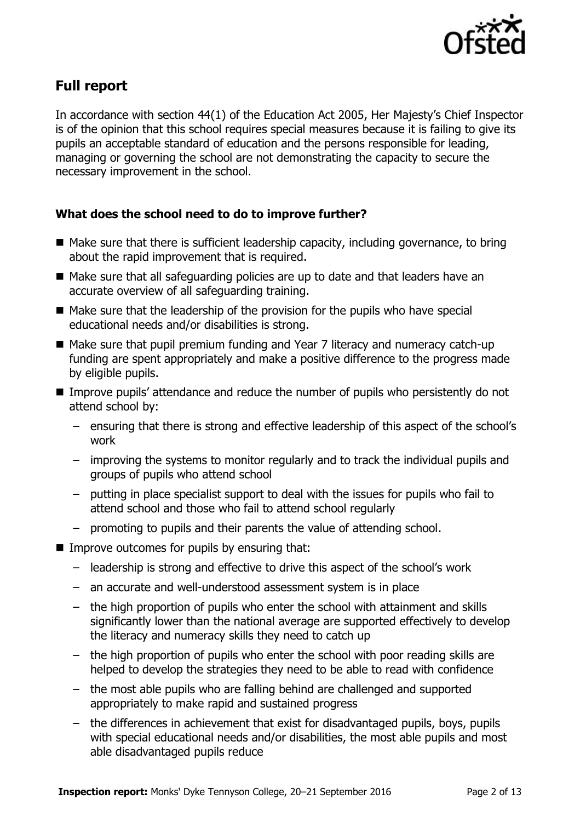

# **Full report**

In accordance with section 44(1) of the Education Act 2005, Her Majesty's Chief Inspector is of the opinion that this school requires special measures because it is failing to give its pupils an acceptable standard of education and the persons responsible for leading, managing or governing the school are not demonstrating the capacity to secure the necessary improvement in the school.

### **What does the school need to do to improve further?**

- $\blacksquare$  Make sure that there is sufficient leadership capacity, including governance, to bring about the rapid improvement that is required.
- Make sure that all safeguarding policies are up to date and that leaders have an accurate overview of all safeguarding training.
- $\blacksquare$  Make sure that the leadership of the provision for the pupils who have special educational needs and/or disabilities is strong.
- Make sure that pupil premium funding and Year 7 literacy and numeracy catch-up funding are spent appropriately and make a positive difference to the progress made by eligible pupils.
- Improve pupils' attendance and reduce the number of pupils who persistently do not attend school by:
	- ensuring that there is strong and effective leadership of this aspect of the school's work
	- improving the systems to monitor regularly and to track the individual pupils and groups of pupils who attend school
	- putting in place specialist support to deal with the issues for pupils who fail to attend school and those who fail to attend school regularly
	- promoting to pupils and their parents the value of attending school.
- Improve outcomes for pupils by ensuring that:
	- leadership is strong and effective to drive this aspect of the school's work
	- an accurate and well-understood assessment system is in place
	- the high proportion of pupils who enter the school with attainment and skills significantly lower than the national average are supported effectively to develop the literacy and numeracy skills they need to catch up
	- the high proportion of pupils who enter the school with poor reading skills are helped to develop the strategies they need to be able to read with confidence
	- the most able pupils who are falling behind are challenged and supported appropriately to make rapid and sustained progress
	- the differences in achievement that exist for disadvantaged pupils, boys, pupils with special educational needs and/or disabilities, the most able pupils and most able disadvantaged pupils reduce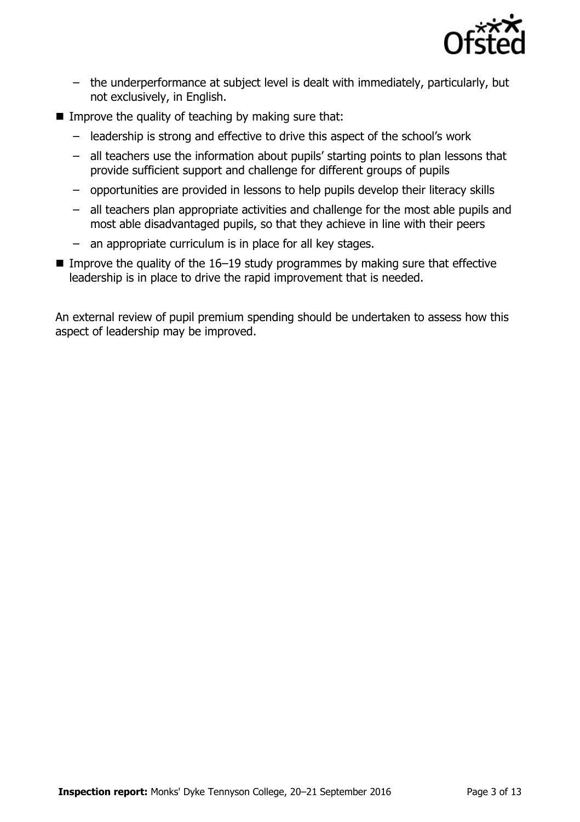

- the underperformance at subject level is dealt with immediately, particularly, but not exclusively, in English.
- Improve the quality of teaching by making sure that:
	- leadership is strong and effective to drive this aspect of the school's work
	- all teachers use the information about pupils' starting points to plan lessons that provide sufficient support and challenge for different groups of pupils
	- opportunities are provided in lessons to help pupils develop their literacy skills
	- all teachers plan appropriate activities and challenge for the most able pupils and most able disadvantaged pupils, so that they achieve in line with their peers
	- an appropriate curriculum is in place for all key stages.
- Improve the quality of the  $16-19$  study programmes by making sure that effective leadership is in place to drive the rapid improvement that is needed.

An external review of pupil premium spending should be undertaken to assess how this aspect of leadership may be improved.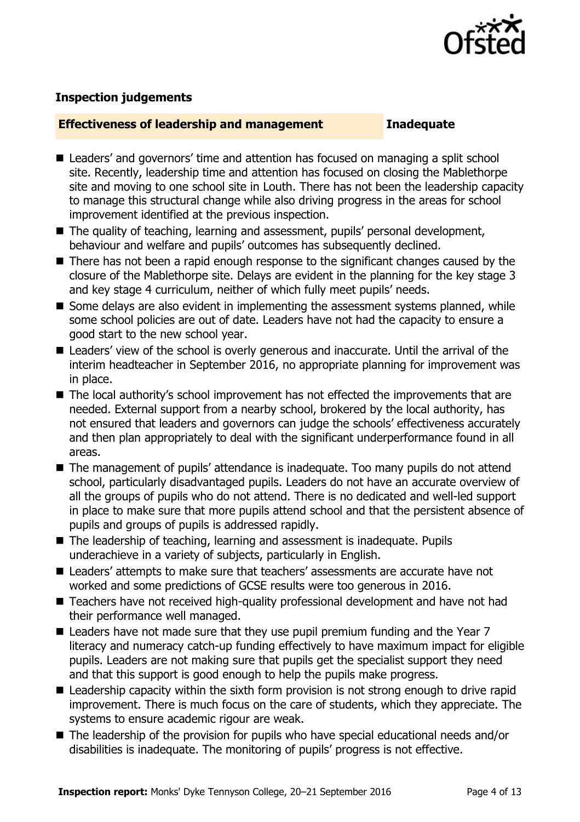

### **Inspection judgements**

### **Effectiveness of leadership and management Inadequate**

- Leaders' and governors' time and attention has focused on managing a split school site. Recently, leadership time and attention has focused on closing the Mablethorpe site and moving to one school site in Louth. There has not been the leadership capacity to manage this structural change while also driving progress in the areas for school improvement identified at the previous inspection.
- The quality of teaching, learning and assessment, pupils' personal development, behaviour and welfare and pupils' outcomes has subsequently declined.
- There has not been a rapid enough response to the significant changes caused by the closure of the Mablethorpe site. Delays are evident in the planning for the key stage 3 and key stage 4 curriculum, neither of which fully meet pupils' needs.
- Some delays are also evident in implementing the assessment systems planned, while some school policies are out of date. Leaders have not had the capacity to ensure a good start to the new school year.
- Leaders' view of the school is overly generous and inaccurate. Until the arrival of the interim headteacher in September 2016, no appropriate planning for improvement was in place.
- The local authority's school improvement has not effected the improvements that are needed. External support from a nearby school, brokered by the local authority, has not ensured that leaders and governors can judge the schools' effectiveness accurately and then plan appropriately to deal with the significant underperformance found in all areas.
- The management of pupils' attendance is inadequate. Too many pupils do not attend school, particularly disadvantaged pupils. Leaders do not have an accurate overview of all the groups of pupils who do not attend. There is no dedicated and well-led support in place to make sure that more pupils attend school and that the persistent absence of pupils and groups of pupils is addressed rapidly.
- The leadership of teaching, learning and assessment is inadequate. Pupils underachieve in a variety of subjects, particularly in English.
- Leaders' attempts to make sure that teachers' assessments are accurate have not worked and some predictions of GCSE results were too generous in 2016.
- Teachers have not received high-quality professional development and have not had their performance well managed.
- Leaders have not made sure that they use pupil premium funding and the Year 7 literacy and numeracy catch-up funding effectively to have maximum impact for eligible pupils. Leaders are not making sure that pupils get the specialist support they need and that this support is good enough to help the pupils make progress.
- Leadership capacity within the sixth form provision is not strong enough to drive rapid improvement. There is much focus on the care of students, which they appreciate. The systems to ensure academic rigour are weak.
- The leadership of the provision for pupils who have special educational needs and/or disabilities is inadequate. The monitoring of pupils' progress is not effective.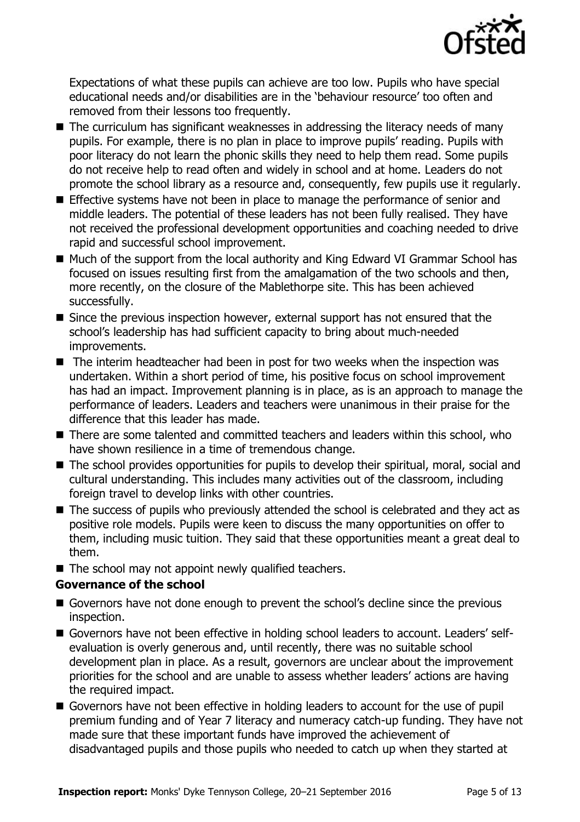

Expectations of what these pupils can achieve are too low. Pupils who have special educational needs and/or disabilities are in the 'behaviour resource' too often and removed from their lessons too frequently.

- The curriculum has significant weaknesses in addressing the literacy needs of many pupils. For example, there is no plan in place to improve pupils' reading. Pupils with poor literacy do not learn the phonic skills they need to help them read. Some pupils do not receive help to read often and widely in school and at home. Leaders do not promote the school library as a resource and, consequently, few pupils use it regularly.
- **Effective systems have not been in place to manage the performance of senior and** middle leaders. The potential of these leaders has not been fully realised. They have not received the professional development opportunities and coaching needed to drive rapid and successful school improvement.
- Much of the support from the local authority and King Edward VI Grammar School has focused on issues resulting first from the amalgamation of the two schools and then, more recently, on the closure of the Mablethorpe site. This has been achieved successfully.
- Since the previous inspection however, external support has not ensured that the school's leadership has had sufficient capacity to bring about much-needed improvements.
- The interim headteacher had been in post for two weeks when the inspection was undertaken. Within a short period of time, his positive focus on school improvement has had an impact. Improvement planning is in place, as is an approach to manage the performance of leaders. Leaders and teachers were unanimous in their praise for the difference that this leader has made.
- There are some talented and committed teachers and leaders within this school, who have shown resilience in a time of tremendous change.
- The school provides opportunities for pupils to develop their spiritual, moral, social and cultural understanding. This includes many activities out of the classroom, including foreign travel to develop links with other countries.
- The success of pupils who previously attended the school is celebrated and they act as positive role models. Pupils were keen to discuss the many opportunities on offer to them, including music tuition. They said that these opportunities meant a great deal to them.
- The school may not appoint newly qualified teachers.

### **Governance of the school**

- **E** Governors have not done enough to prevent the school's decline since the previous inspection.
- Governors have not been effective in holding school leaders to account. Leaders' selfevaluation is overly generous and, until recently, there was no suitable school development plan in place. As a result, governors are unclear about the improvement priorities for the school and are unable to assess whether leaders' actions are having the required impact.
- Governors have not been effective in holding leaders to account for the use of pupil premium funding and of Year 7 literacy and numeracy catch-up funding. They have not made sure that these important funds have improved the achievement of disadvantaged pupils and those pupils who needed to catch up when they started at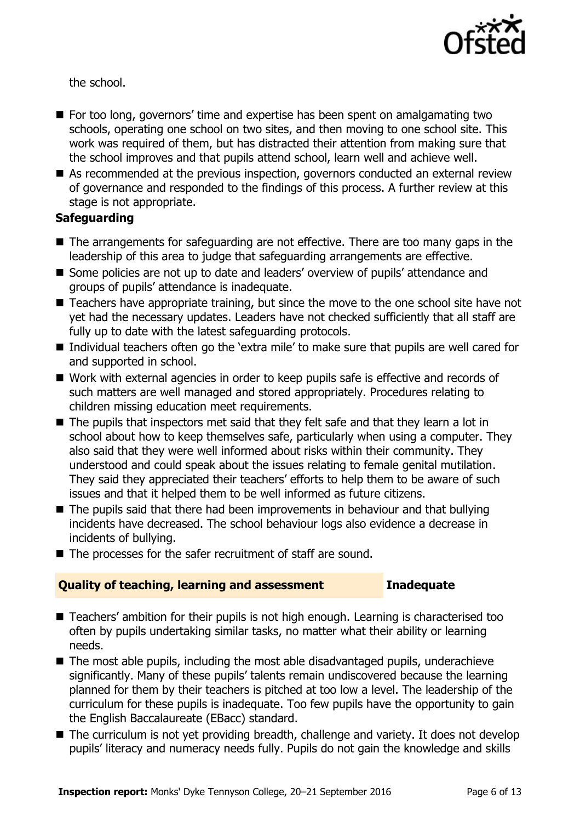

the school.

- For too long, governors' time and expertise has been spent on amalgamating two schools, operating one school on two sites, and then moving to one school site. This work was required of them, but has distracted their attention from making sure that the school improves and that pupils attend school, learn well and achieve well.
- As recommended at the previous inspection, governors conducted an external review of governance and responded to the findings of this process. A further review at this stage is not appropriate.

### **Safeguarding**

- The arrangements for safeguarding are not effective. There are too many gaps in the leadership of this area to judge that safeguarding arrangements are effective.
- Some policies are not up to date and leaders' overview of pupils' attendance and groups of pupils' attendance is inadequate.
- Teachers have appropriate training, but since the move to the one school site have not yet had the necessary updates. Leaders have not checked sufficiently that all staff are fully up to date with the latest safeguarding protocols.
- Individual teachers often go the 'extra mile' to make sure that pupils are well cared for and supported in school.
- Work with external agencies in order to keep pupils safe is effective and records of such matters are well managed and stored appropriately. Procedures relating to children missing education meet requirements.
- The pupils that inspectors met said that they felt safe and that they learn a lot in school about how to keep themselves safe, particularly when using a computer. They also said that they were well informed about risks within their community. They understood and could speak about the issues relating to female genital mutilation. They said they appreciated their teachers' efforts to help them to be aware of such issues and that it helped them to be well informed as future citizens.
- $\blacksquare$  The pupils said that there had been improvements in behaviour and that bullying incidents have decreased. The school behaviour logs also evidence a decrease in incidents of bullying.
- The processes for the safer recruitment of staff are sound.

### **Quality of teaching, learning and assessment Inadequate**

- Teachers' ambition for their pupils is not high enough. Learning is characterised too often by pupils undertaking similar tasks, no matter what their ability or learning needs.
- The most able pupils, including the most able disadvantaged pupils, underachieve significantly. Many of these pupils' talents remain undiscovered because the learning planned for them by their teachers is pitched at too low a level. The leadership of the curriculum for these pupils is inadequate. Too few pupils have the opportunity to gain the English Baccalaureate (EBacc) standard.
- The curriculum is not yet providing breadth, challenge and variety. It does not develop pupils' literacy and numeracy needs fully. Pupils do not gain the knowledge and skills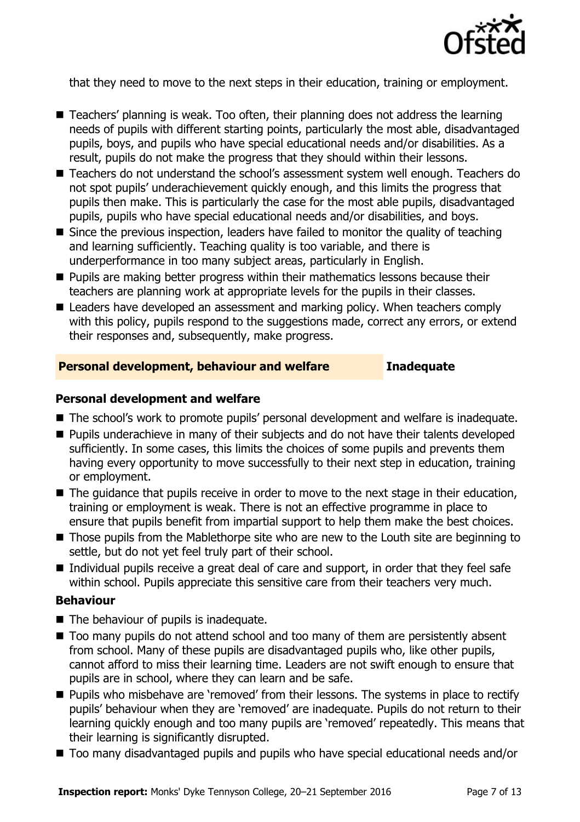

that they need to move to the next steps in their education, training or employment.

- Teachers' planning is weak. Too often, their planning does not address the learning needs of pupils with different starting points, particularly the most able, disadvantaged pupils, boys, and pupils who have special educational needs and/or disabilities. As a result, pupils do not make the progress that they should within their lessons.
- Teachers do not understand the school's assessment system well enough. Teachers do not spot pupils' underachievement quickly enough, and this limits the progress that pupils then make. This is particularly the case for the most able pupils, disadvantaged pupils, pupils who have special educational needs and/or disabilities, and boys.
- Since the previous inspection, leaders have failed to monitor the quality of teaching and learning sufficiently. Teaching quality is too variable, and there is underperformance in too many subject areas, particularly in English.
- **Pupils are making better progress within their mathematics lessons because their** teachers are planning work at appropriate levels for the pupils in their classes.
- Leaders have developed an assessment and marking policy. When teachers comply with this policy, pupils respond to the suggestions made, correct any errors, or extend their responses and, subsequently, make progress.

### **Personal development, behaviour and welfare Inadequate**

### **Personal development and welfare**

- The school's work to promote pupils' personal development and welfare is inadequate.
- **Pupils underachieve in many of their subjects and do not have their talents developed** sufficiently. In some cases, this limits the choices of some pupils and prevents them having every opportunity to move successfully to their next step in education, training or employment.
- The quidance that pupils receive in order to move to the next stage in their education, training or employment is weak. There is not an effective programme in place to ensure that pupils benefit from impartial support to help them make the best choices.
- Those pupils from the Mablethorpe site who are new to the Louth site are beginning to settle, but do not yet feel truly part of their school.
- Individual pupils receive a great deal of care and support, in order that they feel safe within school. Pupils appreciate this sensitive care from their teachers very much.

### **Behaviour**

- The behaviour of pupils is inadequate.
- Too many pupils do not attend school and too many of them are persistently absent from school. Many of these pupils are disadvantaged pupils who, like other pupils, cannot afford to miss their learning time. Leaders are not swift enough to ensure that pupils are in school, where they can learn and be safe.
- **Pupils who misbehave are 'removed' from their lessons. The systems in place to rectify** pupils' behaviour when they are 'removed' are inadequate. Pupils do not return to their learning quickly enough and too many pupils are 'removed' repeatedly. This means that their learning is significantly disrupted.
- Too many disadvantaged pupils and pupils who have special educational needs and/or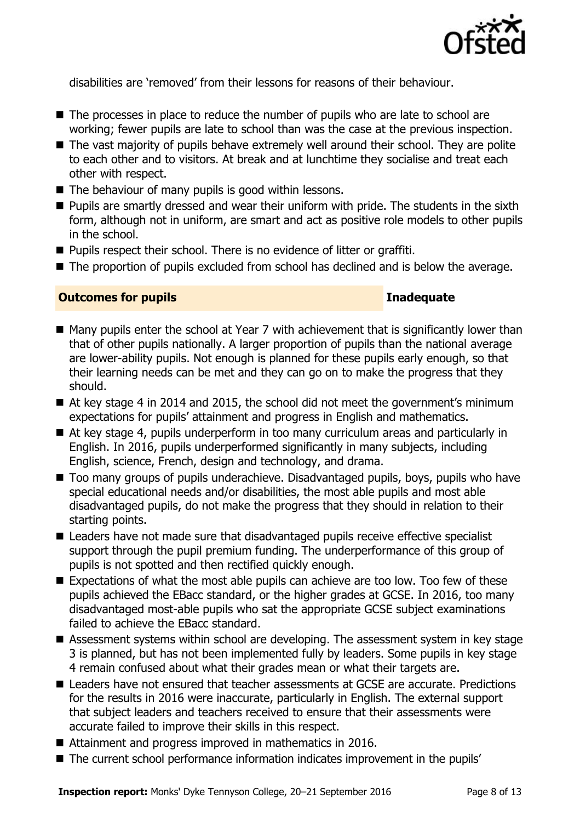

disabilities are 'removed' from their lessons for reasons of their behaviour.

- The processes in place to reduce the number of pupils who are late to school are working; fewer pupils are late to school than was the case at the previous inspection.
- The vast majority of pupils behave extremely well around their school. They are polite to each other and to visitors. At break and at lunchtime they socialise and treat each other with respect.
- The behaviour of many pupils is good within lessons.
- **Pupils are smartly dressed and wear their uniform with pride. The students in the sixth** form, although not in uniform, are smart and act as positive role models to other pupils in the school.
- **Pupils respect their school. There is no evidence of litter or graffiti.**
- The proportion of pupils excluded from school has declined and is below the average.

### **Outcomes for pupils Inadequate**

- Many pupils enter the school at Year 7 with achievement that is significantly lower than that of other pupils nationally. A larger proportion of pupils than the national average are lower-ability pupils. Not enough is planned for these pupils early enough, so that their learning needs can be met and they can go on to make the progress that they should.
- At key stage 4 in 2014 and 2015, the school did not meet the government's minimum expectations for pupils' attainment and progress in English and mathematics.
- At key stage 4, pupils underperform in too many curriculum areas and particularly in English. In 2016, pupils underperformed significantly in many subjects, including English, science, French, design and technology, and drama.
- Too many groups of pupils underachieve. Disadvantaged pupils, boys, pupils who have special educational needs and/or disabilities, the most able pupils and most able disadvantaged pupils, do not make the progress that they should in relation to their starting points.
- Leaders have not made sure that disadvantaged pupils receive effective specialist support through the pupil premium funding. The underperformance of this group of pupils is not spotted and then rectified quickly enough.
- Expectations of what the most able pupils can achieve are too low. Too few of these pupils achieved the EBacc standard, or the higher grades at GCSE. In 2016, too many disadvantaged most-able pupils who sat the appropriate GCSE subject examinations failed to achieve the EBacc standard.
- Assessment systems within school are developing. The assessment system in key stage 3 is planned, but has not been implemented fully by leaders. Some pupils in key stage 4 remain confused about what their grades mean or what their targets are.
- Leaders have not ensured that teacher assessments at GCSE are accurate. Predictions for the results in 2016 were inaccurate, particularly in English. The external support that subject leaders and teachers received to ensure that their assessments were accurate failed to improve their skills in this respect.
- Attainment and progress improved in mathematics in 2016.
- The current school performance information indicates improvement in the pupils'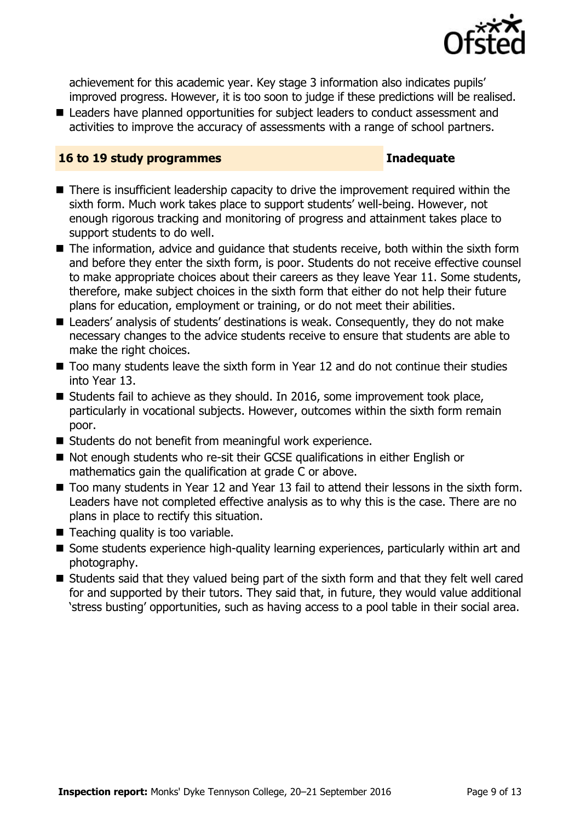

achievement for this academic year. Key stage 3 information also indicates pupils' improved progress. However, it is too soon to judge if these predictions will be realised.

■ Leaders have planned opportunities for subject leaders to conduct assessment and activities to improve the accuracy of assessments with a range of school partners.

### **16 to 19 study programmes Inadequate**

- There is insufficient leadership capacity to drive the improvement required within the sixth form. Much work takes place to support students' well-being. However, not enough rigorous tracking and monitoring of progress and attainment takes place to support students to do well.
- The information, advice and guidance that students receive, both within the sixth form and before they enter the sixth form, is poor. Students do not receive effective counsel to make appropriate choices about their careers as they leave Year 11. Some students, therefore, make subject choices in the sixth form that either do not help their future plans for education, employment or training, or do not meet their abilities.
- Leaders' analysis of students' destinations is weak. Consequently, they do not make necessary changes to the advice students receive to ensure that students are able to make the right choices.
- Too many students leave the sixth form in Year 12 and do not continue their studies into Year 13.
- Students fail to achieve as they should. In 2016, some improvement took place, particularly in vocational subjects. However, outcomes within the sixth form remain poor.
- Students do not benefit from meaningful work experience.
- Not enough students who re-sit their GCSE qualifications in either English or mathematics gain the qualification at grade C or above.
- Too many students in Year 12 and Year 13 fail to attend their lessons in the sixth form. Leaders have not completed effective analysis as to why this is the case. There are no plans in place to rectify this situation.
- Teaching quality is too variable.
- Some students experience high-quality learning experiences, particularly within art and photography.
- $\blacksquare$  Students said that they valued being part of the sixth form and that they felt well cared for and supported by their tutors. They said that, in future, they would value additional 'stress busting' opportunities, such as having access to a pool table in their social area.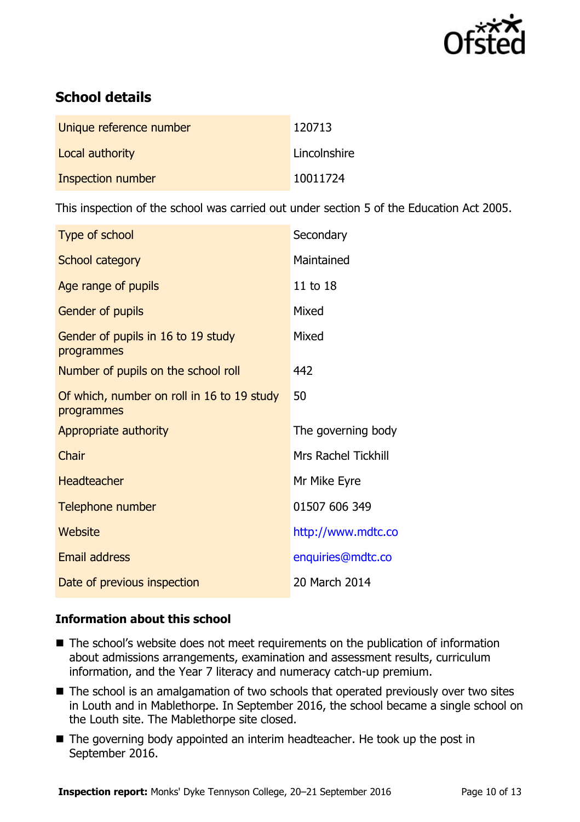

## **School details**

| Unique reference number | 120713       |
|-------------------------|--------------|
| Local authority         | Lincolnshire |
| Inspection number       | 10011724     |

This inspection of the school was carried out under section 5 of the Education Act 2005.

| Type of school                                           | Secondary                  |
|----------------------------------------------------------|----------------------------|
| School category                                          | Maintained                 |
| Age range of pupils                                      | 11 to 18                   |
| Gender of pupils                                         | Mixed                      |
| Gender of pupils in 16 to 19 study<br>programmes         | Mixed                      |
| Number of pupils on the school roll                      | 442                        |
| Of which, number on roll in 16 to 19 study<br>programmes | 50                         |
| Appropriate authority                                    | The governing body         |
| Chair                                                    | <b>Mrs Rachel Tickhill</b> |
| <b>Headteacher</b>                                       | Mr Mike Eyre               |
| Telephone number                                         | 01507 606 349              |
| Website                                                  | http://www.mdtc.co         |
| <b>Email address</b>                                     | enquiries@mdtc.co          |
| Date of previous inspection                              | 20 March 2014              |

### **Information about this school**

- The school's website does not meet requirements on the publication of information about admissions arrangements, examination and assessment results, curriculum information, and the Year 7 literacy and numeracy catch-up premium.
- The school is an amalgamation of two schools that operated previously over two sites in Louth and in Mablethorpe. In September 2016, the school became a single school on the Louth site. The Mablethorpe site closed.
- The governing body appointed an interim headteacher. He took up the post in September 2016.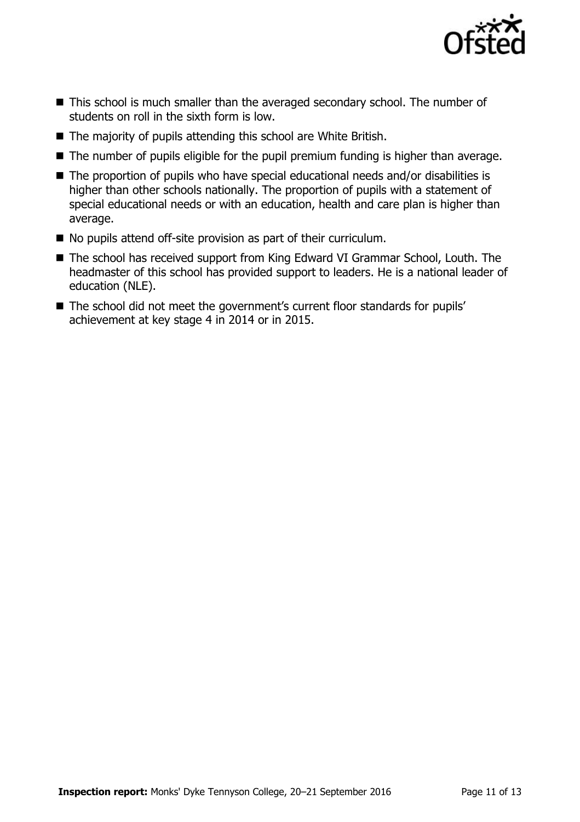

- This school is much smaller than the averaged secondary school. The number of students on roll in the sixth form is low.
- The majority of pupils attending this school are White British.
- The number of pupils eligible for the pupil premium funding is higher than average.
- The proportion of pupils who have special educational needs and/or disabilities is higher than other schools nationally. The proportion of pupils with a statement of special educational needs or with an education, health and care plan is higher than average.
- No pupils attend off-site provision as part of their curriculum.
- The school has received support from King Edward VI Grammar School, Louth. The headmaster of this school has provided support to leaders. He is a national leader of education (NLE).
- The school did not meet the government's current floor standards for pupils' achievement at key stage 4 in 2014 or in 2015.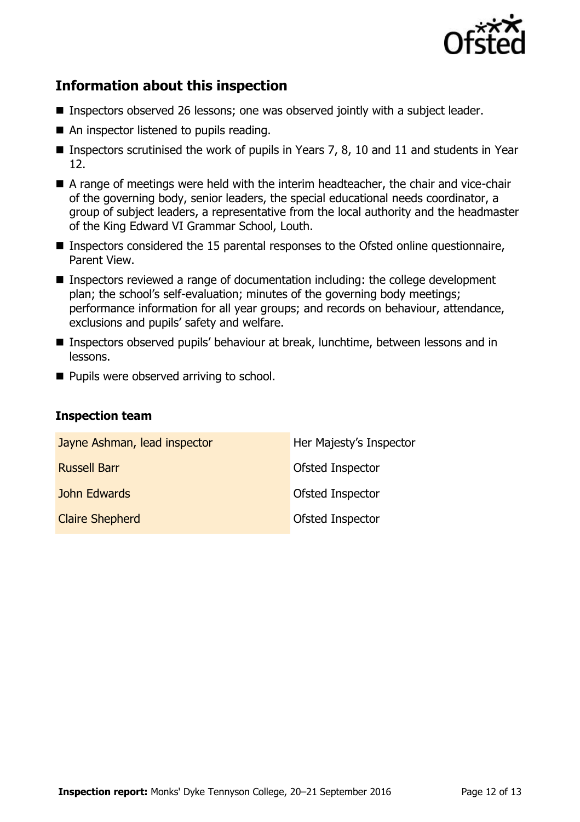

# **Information about this inspection**

- Inspectors observed 26 lessons; one was observed jointly with a subject leader.
- An inspector listened to pupils reading.
- **Inspectors scrutinised the work of pupils in Years 7, 8, 10 and 11 and students in Year** 12.
- A range of meetings were held with the interim headteacher, the chair and vice-chair of the governing body, senior leaders, the special educational needs coordinator, a group of subject leaders, a representative from the local authority and the headmaster of the King Edward VI Grammar School, Louth.
- Inspectors considered the 15 parental responses to the Ofsted online questionnaire, Parent View.
- Inspectors reviewed a range of documentation including: the college development plan; the school's self-evaluation; minutes of the governing body meetings; performance information for all year groups; and records on behaviour, attendance, exclusions and pupils' safety and welfare.
- Inspectors observed pupils' behaviour at break, lunchtime, between lessons and in lessons.
- **Pupils were observed arriving to school.**

### **Inspection team**

| Jayne Ashman, lead inspector | Her Majesty's Inspector |
|------------------------------|-------------------------|
| <b>Russell Barr</b>          | <b>Ofsted Inspector</b> |
| John Edwards                 | Ofsted Inspector        |
| <b>Claire Shepherd</b>       | Ofsted Inspector        |